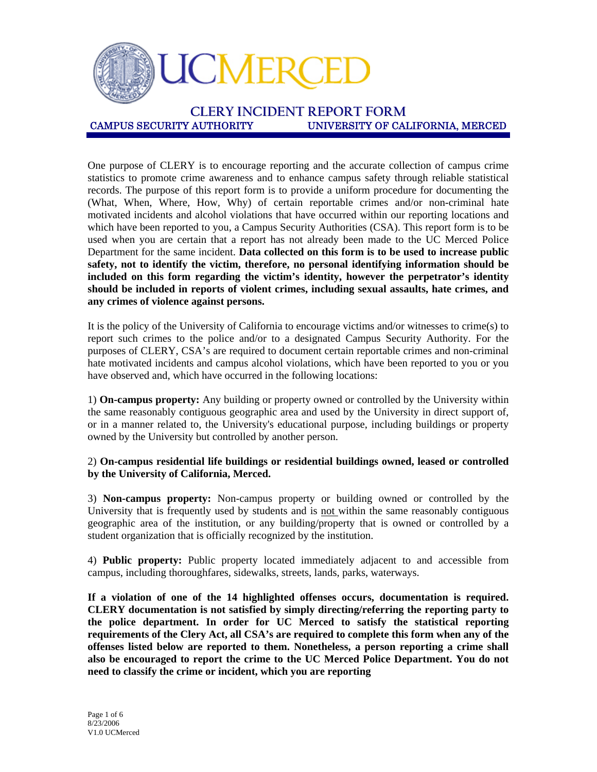

**CLERY INCIDENT REPORT FORM** UNIVERSITY OF CALIFORNIA, MERCED

One purpose of CLERY is to encourage reporting and the accurate collection of campus crime statistics to promote crime awareness and to enhance campus safety through reliable statistical records. The purpose of this report form is to provide a uniform procedure for documenting the (What, When, Where, How, Why) of certain reportable crimes and/or non-criminal hate motivated incidents and alcohol violations that have occurred within our reporting locations and which have been reported to you, a Campus Security Authorities (CSA). This report form is to be used when you are certain that a report has not already been made to the UC Merced Police Department for the same incident. **Data collected on this form is to be used to increase public safety, not to identify the victim, therefore, no personal identifying information should be included on this form regarding the victim's identity, however the perpetrator's identity should be included in reports of violent crimes, including sexual assaults, hate crimes, and any crimes of violence against persons.**

It is the policy of the University of California to encourage victims and/or witnesses to crime(s) to report such crimes to the police and/or to a designated Campus Security Authority. For the purposes of CLERY, CSA's are required to document certain reportable crimes and non-criminal hate motivated incidents and campus alcohol violations, which have been reported to you or you have observed and, which have occurred in the following locations:

1) **On-campus property:** Any building or property owned or controlled by the University within the same reasonably contiguous geographic area and used by the University in direct support of, or in a manner related to, the University's educational purpose, including buildings or property owned by the University but controlled by another person.

#### 2) **On-campus residential life buildings or residential buildings owned, leased or controlled by the University of California, Merced.**

3) **Non-campus property:** Non-campus property or building owned or controlled by the University that is frequently used by students and is not within the same reasonably contiguous geographic area of the institution, or any building/property that is owned or controlled by a student organization that is officially recognized by the institution.

4) **Public property:** Public property located immediately adjacent to and accessible from campus, including thoroughfares, sidewalks, streets, lands, parks, waterways.

**If a violation of one of the 14 highlighted offenses occurs, documentation is required. CLERY documentation is not satisfied by simply directing/referring the reporting party to the police department. In order for UC Merced to satisfy the statistical reporting requirements of the Clery Act, all CSA's are required to complete this form when any of the offenses listed below are reported to them. Nonetheless, a person reporting a crime shall also be encouraged to report the crime to the UC Merced Police Department. You do not need to classify the crime or incident, which you are reporting**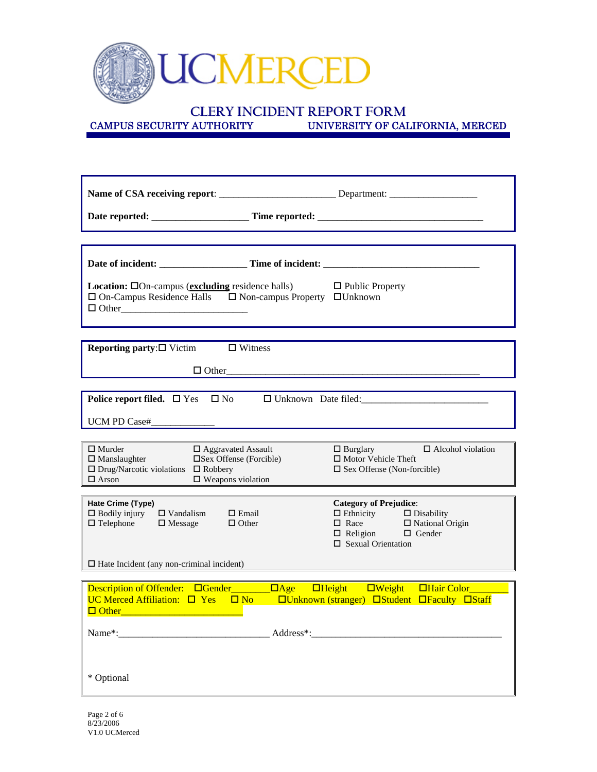

# **CLERY INCIDENT REPORT FORM**<br>CAMPUS SECURITY AUTHORITY UNIVERSITY OF CAL

UNIVERSITY OF CALIFORNIA, MERCED

|                                                                                                                                                                                                                   | Name of CSA receiving report: _________________________________Department: ___________________________________     |
|-------------------------------------------------------------------------------------------------------------------------------------------------------------------------------------------------------------------|--------------------------------------------------------------------------------------------------------------------|
|                                                                                                                                                                                                                   |                                                                                                                    |
|                                                                                                                                                                                                                   |                                                                                                                    |
|                                                                                                                                                                                                                   |                                                                                                                    |
| <b>Location:</b> $\Box$ On-campus ( <b>excluding</b> residence halls) $\Box$ Public Property<br>$\Box$ On-Campus Residence Halls $\Box$ Non-campus Property $\Box$ Unknown                                        |                                                                                                                    |
| <b>Reporting party:</b> $\square$ Victim $\square$ Witness                                                                                                                                                        |                                                                                                                    |
|                                                                                                                                                                                                                   | $\Box$ Other                                                                                                       |
|                                                                                                                                                                                                                   | Police report filed. □ Yes □ No □ Unknown Date filed:<br>□ Unknown Date filed:                                     |
|                                                                                                                                                                                                                   |                                                                                                                    |
| UCM PD Case# $\qquad \qquad$                                                                                                                                                                                      |                                                                                                                    |
| $\Box$ Murder<br>$\Box$ Aggravated Assault<br>$\Box$ Manslaughter<br>$\square$ Sex Offense (Forcible)<br>$\Box$ Drug/Narcotic violations $\Box$ Robbery<br>$\hfill \square$ We<br>apons violation<br>$\Box$ Arson | $\Box$ Burglary $\Box$ Alcohol violation<br>□ Motor Vehicle Theft<br>$\square$ Sex Offense (Non-forcible)          |
| Hate Crime (Type)                                                                                                                                                                                                 | <b>Category of Prejudice:</b>                                                                                      |
| $\Box$ Vandalism<br>$\Box$ Bodily injury<br>$\Box$ Email<br>$\Box$ Telephone<br>$\Box$ Message<br>$\Box$ Other                                                                                                    | □ Ethnicity<br>□ Race<br>□ Race<br>□ National Origin<br>$\Box$ Religion $\Box$ Gender<br>$\Box$ Sexual Orientation |
| $\Box$ Hate Incident (any non-criminal incident)                                                                                                                                                                  |                                                                                                                    |
|                                                                                                                                                                                                                   |                                                                                                                    |
| $\Box$ Other                                                                                                                                                                                                      |                                                                                                                    |
| Name*:                                                                                                                                                                                                            |                                                                                                                    |
| * Optional                                                                                                                                                                                                        |                                                                                                                    |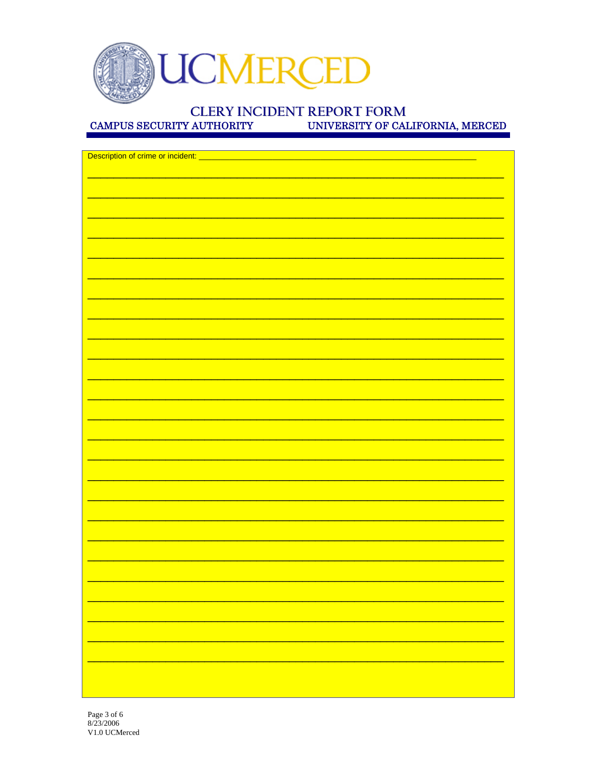

# **CLERY INCIDENT REPORT FORM**

**CAMPUS SECURITY AUTHORITY** 

UNIVERSITY OF CALIFORNIA, MERCED

| Description of crime or incident: ____ |  |
|----------------------------------------|--|
|                                        |  |
|                                        |  |
|                                        |  |
|                                        |  |
|                                        |  |
|                                        |  |
|                                        |  |
|                                        |  |
|                                        |  |
|                                        |  |
|                                        |  |
|                                        |  |
|                                        |  |
|                                        |  |
|                                        |  |
|                                        |  |
|                                        |  |
|                                        |  |
|                                        |  |
|                                        |  |
|                                        |  |
|                                        |  |
|                                        |  |
|                                        |  |
|                                        |  |
|                                        |  |
|                                        |  |
|                                        |  |
|                                        |  |
|                                        |  |
|                                        |  |
|                                        |  |
|                                        |  |
|                                        |  |
|                                        |  |
|                                        |  |
|                                        |  |
|                                        |  |
|                                        |  |
|                                        |  |
|                                        |  |
|                                        |  |
|                                        |  |
|                                        |  |
|                                        |  |
|                                        |  |
|                                        |  |
|                                        |  |
|                                        |  |
|                                        |  |
|                                        |  |
|                                        |  |
|                                        |  |
|                                        |  |
|                                        |  |
|                                        |  |
|                                        |  |
|                                        |  |
|                                        |  |
|                                        |  |
|                                        |  |
|                                        |  |
|                                        |  |
|                                        |  |
|                                        |  |
|                                        |  |
|                                        |  |
|                                        |  |
|                                        |  |
|                                        |  |
|                                        |  |
|                                        |  |
|                                        |  |
|                                        |  |
|                                        |  |
|                                        |  |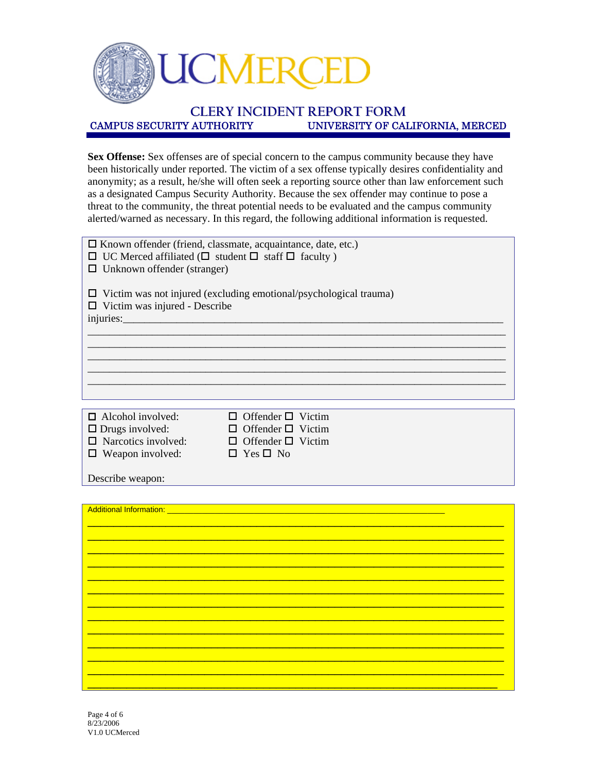

# **CLERY INCIDENT REPORT FORM** UNIVERSITY OF CALIFORNIA, MERCED

**Sex Offense:** Sex offenses are of special concern to the campus community because they have been historically under reported. The victim of a sex offense typically desires confidentiality and anonymity; as a result, he/she will often seek a reporting source other than law enforcement such as a designated Campus Security Authority. Because the sex offender may continue to pose a threat to the community, the threat potential needs to be evaluated and the campus community alerted/warned as necessary. In this regard, the following additional information is requested.

| $\Box$ Known offender (friend, classmate, acquaintance, date, etc.)<br>$\Box$ UC Merced affiliated ( $\Box$ student $\Box$ staff $\Box$ faculty)<br>Unknown offender (stranger) |                                                     |  |  |
|---------------------------------------------------------------------------------------------------------------------------------------------------------------------------------|-----------------------------------------------------|--|--|
| $\Box$ Victim was not injured (excluding emotional/psychological trauma)<br>$\Box$ Victim was injured - Describe<br>$injuries$ .                                                |                                                     |  |  |
|                                                                                                                                                                                 |                                                     |  |  |
|                                                                                                                                                                                 |                                                     |  |  |
|                                                                                                                                                                                 |                                                     |  |  |
|                                                                                                                                                                                 |                                                     |  |  |
|                                                                                                                                                                                 |                                                     |  |  |
| $\Box$ Alcohol involved:<br>$\Box$ Drugs involved:                                                                                                                              | Offender $\square$ Victim<br>Offender $\Box$ Victim |  |  |
| $\Box$ Narcotics involved:                                                                                                                                                      | Offender $\Box$ Victim                              |  |  |
| $\Box$ Weapon involved:                                                                                                                                                         | $\Box$ Yes $\Box$ No                                |  |  |
| Describe weapon:                                                                                                                                                                |                                                     |  |  |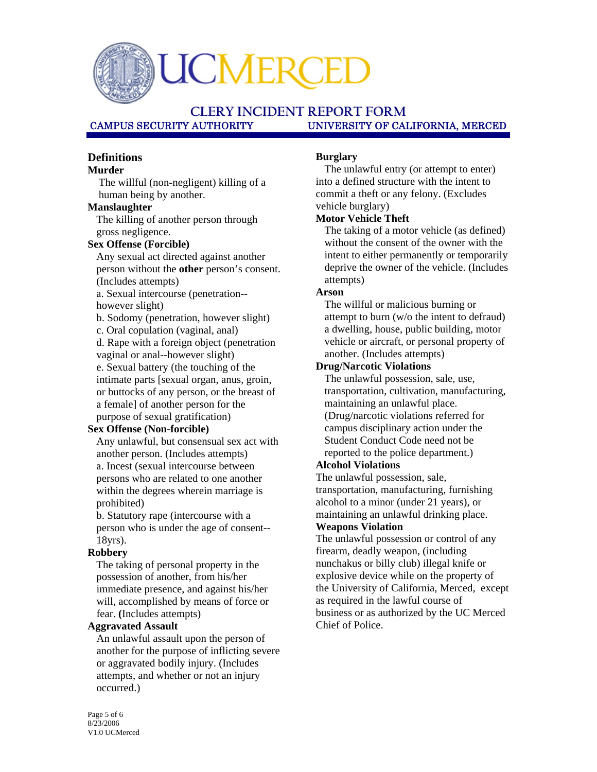CMEI

## **CLERY INCIDENT REPORT FORM** UNIVERSITY OF CALIFORNIA, MERCED

### **Definitions**

#### **Murder**

The willful (non-negligent) killing of a human being by another.

#### **Manslaughter**

The killing of another person through gross negligence.

#### **Sex Offense (Forcible)**

Any sexual act directed against another person without the **other** person's consent. (Includes attempts)

a. Sexual intercourse (penetration- however slight)

b. Sodomy (penetration, however slight)

c. Oral copulation (vaginal, anal)

d. Rape with a foreign object (penetration vaginal or anal--however slight)

e. Sexual battery (the touching of the intimate parts [sexual organ, anus, groin, or buttocks of any person, or the breast of a female] of another person for the purpose of sexual gratification)

#### **Sex Offense (Non-forcible)**

Any unlawful, but consensual sex act with another person. (Includes attempts) a. Incest (sexual intercourse between persons who are related to one another within the degrees wherein marriage is prohibited)

b. Statutory rape (intercourse with a person who is under the age of consent-- 18yrs).

#### **Robbery**

The taking of personal property in the possession of another, from his/her immediate presence, and against his/her will, accomplished by means of force or fear. **(**Includes attempts)

#### **Aggravated Assault**

An unlawful assault upon the person of another for the purpose of inflicting severe or aggravated bodily injury. (Includes attempts, and whether or not an injury occurred.)

#### **Burglary**

The unlawful entry (or attempt to enter) into a defined structure with the intent to commit a theft or any felony. (Excludes vehicle burglary)

#### **Motor Vehicle Theft**

The taking of a motor vehicle (as defined) without the consent of the owner with the intent to either permanently or temporarily deprive the owner of the vehicle. (Includes attempts)

#### **Arson**

The willful or malicious burning or attempt to burn (w/o the intent to defraud) a dwelling, house, public building, motor vehicle or aircraft, or personal property of another. (Includes attempts)

#### **Drug/Narcotic Violations**

The unlawful possession, sale, use, transportation, cultivation, manufacturing, maintaining an unlawful place. (Drug/narcotic violations referred for campus disciplinary action under the Student Conduct Code need not be reported to the police department.)

#### **Alcohol Violations**

The unlawful possession, sale, transportation, manufacturing, furnishing alcohol to a minor (under 21 years), or maintaining an unlawful drinking place. **Weapons Violation** 

The unlawful possession or control of any firearm, deadly weapon, (including nunchakus or billy club) illegal knife or explosive device while on the property of the University of California, Merced, except as required in the lawful course of business or as authorized by the UC Merced Chief of Police.

Page 5 of 6 8/23/2006 V1.0 UCMerced